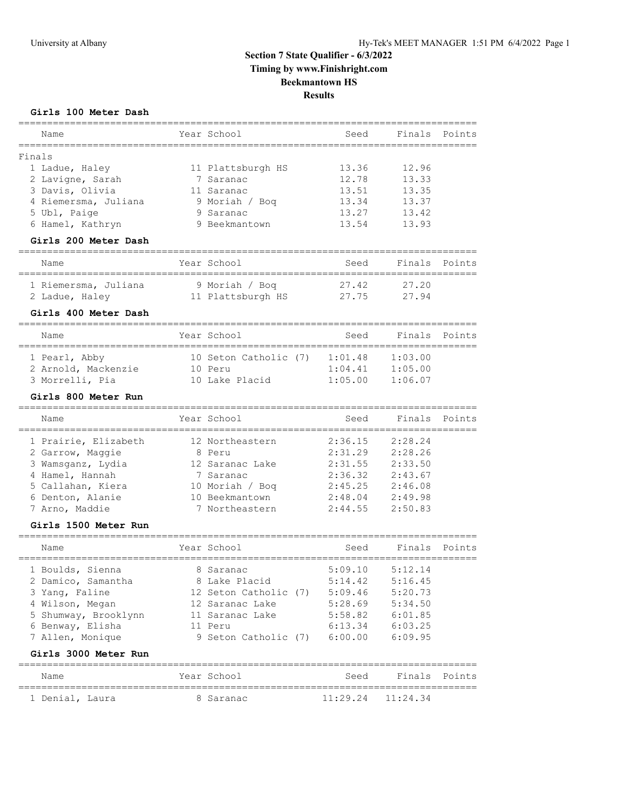# **Girls 100 Meter Dash**

| Name                              | Year School                       | Seed                                    | Finals   | Points |
|-----------------------------------|-----------------------------------|-----------------------------------------|----------|--------|
| =============<br>Finals           |                                   |                                         |          |        |
| 1 Ladue, Haley                    | 11 Plattsburgh HS                 | 13.36                                   | 12.96    |        |
| 2 Lavigne, Sarah                  | 7 Saranac                         | 12.78                                   | 13.33    |        |
| 3 Davis, Olivia                   | 11 Saranac                        | 13.51                                   | 13.35    |        |
| 4 Riemersma, Juliana              | 9 Moriah / Boq                    | 13.34                                   | 13.37    |        |
| 5 Ubl, Paige                      | 9 Saranac                         | 13.27                                   | 13.42    |        |
| 6 Hamel, Kathryn                  | 9 Beekmantown                     | 13.54                                   | 13.93    |        |
| Girls 200 Meter Dash              |                                   |                                         |          |        |
| Name                              | Year School                       | Seed<br>_______________________________ | Finals   | Points |
| 1 Riemersma, Juliana              | 9 Moriah / Bog                    | 27.42                                   | 27.20    |        |
| 2 Ladue, Haley                    | 11 Plattsburgh HS                 | 27.75                                   | 27.94    |        |
| Girls 400 Meter Dash              |                                   |                                         |          |        |
| Name<br>========================= | Year School                       | Seed                                    | Finals   | Points |
| 1 Pearl, Abby                     | 10 Seton Catholic (7)             | 1:01.48                                 | 1:03.00  |        |
| 2 Arnold, Mackenzie               | 10 Peru                           | 1:04.41                                 | 1:05.00  |        |
| 3 Morrelli, Pia                   | 10 Lake Placid                    | 1:05.00                                 | 1:06.07  |        |
| Girls 800 Meter Run               |                                   |                                         |          |        |
| _________________________<br>Name | ------------------<br>Year School | Seed                                    | Finals   | Points |
| 1 Prairie, Elizabeth              | 12 Northeastern                   | 2:36.15                                 | 2:28.24  |        |
| 2 Garrow, Maggie                  | 8 Peru                            | 2:31.29                                 | 2:28.26  |        |
| 3 Wamsganz, Lydia                 | 12 Saranac Lake                   | 2:31.55                                 | 2:33.50  |        |
| 4 Hamel, Hannah                   | 7 Saranac                         | 2:36.32                                 | 2:43.67  |        |
| 5 Callahan, Kiera                 | 10 Moriah / Boq                   | 2:45.25                                 | 2:46.08  |        |
| 6 Denton, Alanie                  | 10 Beekmantown                    | 2:48.04                                 | 2:49.98  |        |
| 7 Arno, Maddie                    | 7 Northeastern                    | 2:44.55                                 | 2:50.83  |        |
| Girls 1500 Meter Run              |                                   |                                         |          |        |
| Name                              | Year School                       | Seed                                    | Finals   | Points |
| 1 Boulds, Sienna                  | 8 Saranac                         | 5:09.10                                 | 5:12.14  |        |
| 2 Damico, Samantha                | 8 Lake Placid                     | 5:14.42                                 | 5:16.45  |        |
| 3 Yang, Faline                    | 12 Seton Catholic (7)             | 5:09.46                                 | 5:20.73  |        |
| 4 Wilson, Megan                   | 12 Saranac Lake                   | 5:28.69                                 | 5:34.50  |        |
| 5 Shumway, Brooklynn              | 11 Saranac Lake                   | 5:58.82                                 | 6:01.85  |        |
| 6 Benway, Elisha                  | 11 Peru                           | 6:13.34                                 | 6:03.25  |        |
| 7 Allen, Monique                  | 9 Seton Catholic (7)              | 6:00.00                                 | 6:09.95  |        |
| Girls 3000 Meter Run              |                                   |                                         |          |        |
| Name                              | Year School                       | Seed                                    | Finals   | Points |
| 1 Denial, Laura                   | 8 Saranac                         | 11:29.24                                | 11:24.34 |        |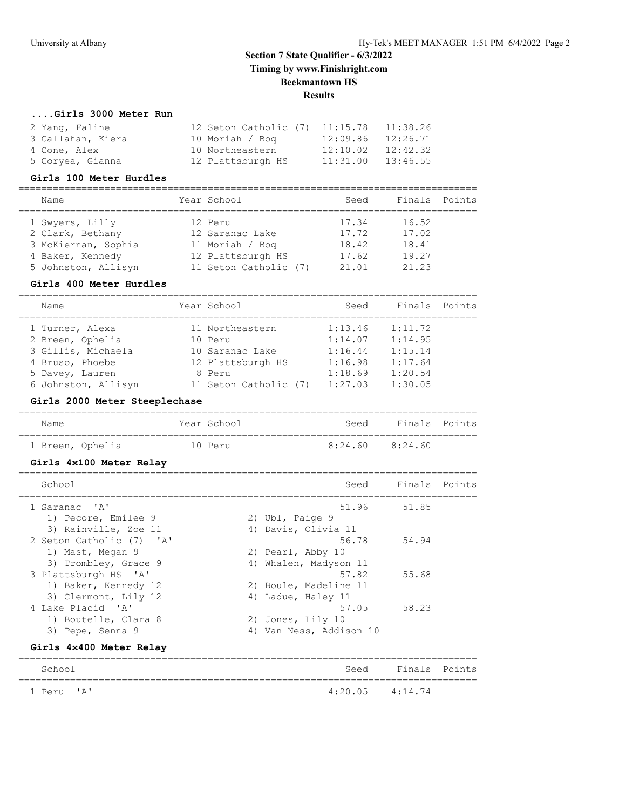# **....Girls 3000 Meter Run**

| 2 Yang, Faline    | 12 Seton Catholic (7) 11:15.78 |          | 11:38.26 |
|-------------------|--------------------------------|----------|----------|
| 3 Callahan, Kiera | 10 Moriah / Bog                | 12:09.86 | 12:26.71 |
| 4 Cone, Alex      | 10 Northeastern                | 12:10.02 | 12:42.32 |
| 5 Coryea, Gianna  | 12 Plattsburgh HS              | 11:31.00 | 13:46.55 |

## **Girls 100 Meter Hurdles**

| Name                | Year School           | Seed  | Finals Points |  |
|---------------------|-----------------------|-------|---------------|--|
| 1 Swyers, Lilly     | 12 Peru               | 17.34 | 16.52         |  |
| 2 Clark, Bethany    | 12 Saranac Lake       | 17.72 | 17.02         |  |
| 3 McKiernan, Sophia | 11 Moriah / Boq       | 18.42 | 18.41         |  |
| 4 Baker, Kennedy    | 12 Plattsburgh HS     | 17.62 | 19.27         |  |
| 5 Johnston, Allisyn | 11 Seton Catholic (7) | 21.01 | 21.23         |  |

#### **Girls 400 Meter Hurdles**

| Name                | Year School           | Seed    | Finals  | Points |
|---------------------|-----------------------|---------|---------|--------|
| 1 Turner, Alexa     | 11 Northeastern       | 1:13.46 | 1:11.72 |        |
| 2 Breen, Ophelia    | 10 Peru               | 1:14.07 | 1:14.95 |        |
| 3 Gillis, Michaela  | 10 Saranac Lake       | 1:16.44 | 1:15.14 |        |
| 4 Bruso, Phoebe     | 12 Plattsburgh HS     | 1:16.98 | 1:17.64 |        |
| 5 Davey, Lauren     | 8 Peru                | 1:18.69 | 1:20.54 |        |
| 6 Johnston, Allisyn | 11 Seton Catholic (7) | 1:27.03 | 1:30.05 |        |

# **Girls 2000 Meter Steeplechase**

| Name             | Year School | Seed                | Finals Points |  |
|------------------|-------------|---------------------|---------------|--|
|                  |             |                     |               |  |
| 1 Breen, Ophelia | 10 Peru     | $8:24.60$ $8:24.60$ |               |  |

# **Girls 4x100 Meter Relay**

| School                   | Seed                       | Finals Points |  |
|--------------------------|----------------------------|---------------|--|
| 1 Saranac 'A'            | 51.96                      | 51.85         |  |
| 1) Pecore, Emilee 9      | 2) Ubl, Paige 9            |               |  |
| 3) Rainville, Zoe 11     | 4) Davis, Olivia 11        |               |  |
| 2 Seton Catholic (7) 'A' | 56.78                      | 54.94         |  |
| 1) Mast, Megan 9         | 2) Pearl, Abby 10          |               |  |
| 3) Trombley, Grace 9     | Whalen, Madyson 11<br>4)   |               |  |
| 3 Plattsburgh HS 'A'     | 57.82                      | 55.68         |  |
| 1) Baker, Kennedy 12     | 2) Boule, Madeline 11      |               |  |
| 3) Clermont, Lily 12     | 4) Ladue, Haley 11         |               |  |
| 4 Lake Placid 'A'        | 57.05                      | 58.23         |  |
| 1) Boutelle, Clara 8     | 2) Jones, Lily 10          |               |  |
| 3) Pepe, Senna 9         | Van Ness, Addison 10<br>4) |               |  |
|                          |                            |               |  |

## **Girls 4x400 Meter Relay**

| School     |                     | Seed Finals Points |  |
|------------|---------------------|--------------------|--|
| 1 Peru 'A' | $4:20.05$ $4:14.74$ |                    |  |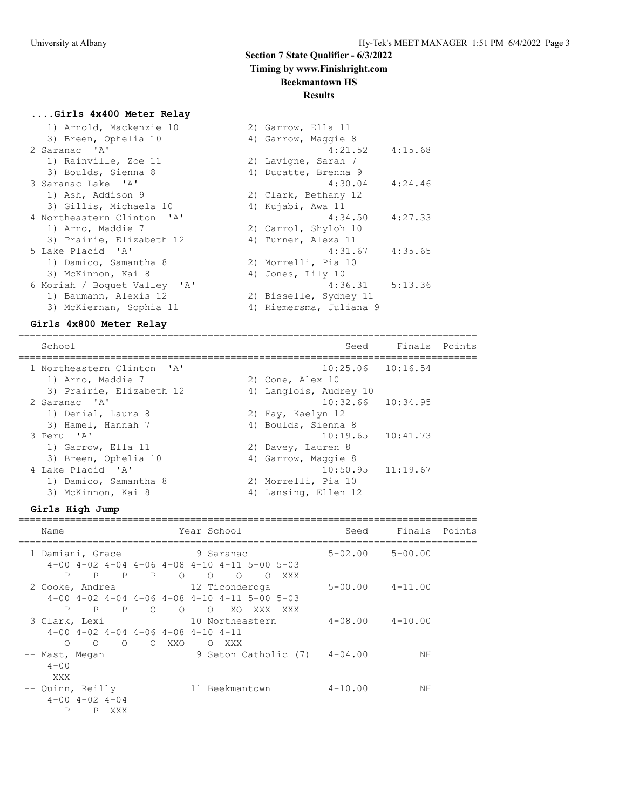## **Results**

# **....Girls 4x400 Meter Relay**

| 1) Arnold, Mackenzie 10      | 2) Garrow, Ella 11      |         |
|------------------------------|-------------------------|---------|
| 3) Breen, Ophelia 10         | 4) Garrow, Maggie 8     |         |
| 2 Saranac 'A'                | 4:21.52                 | 4:15.68 |
| 1) Rainville, Zoe 11         | 2) Lavigne, Sarah 7     |         |
| 3) Boulds, Sienna 8          | 4) Ducatte, Brenna 9    |         |
| 3 Saranac Lake 'A'           | $4:30.04$ $4:24.46$     |         |
| 1) Ash, Addison 9            | 2) Clark, Bethany 12    |         |
| 3) Gillis, Michaela 10       | 4) Kujabi, Awa 11       |         |
| 4 Northeastern Clinton 'A'   | 4:34.50                 | 4:27.33 |
| 1) Arno, Maddie 7            | 2) Carrol, Shyloh 10    |         |
| 3) Prairie, Elizabeth 12     | 4) Turner, Alexa 11     |         |
| 5 Lake Placid 'A'            | 4:31.67                 | 4:35.65 |
| 1) Damico, Samantha 8        | 2) Morrelli, Pia 10     |         |
| 3) McKinnon, Kai 8           | 4) Jones, Lily 10       |         |
| 6 Moriah / Boquet Valley 'A' | 4:36.31                 | 5:13.36 |
| 1) Baumann, Alexis 12        | 2) Bisselle, Sydney 11  |         |
| 3) McKiernan, Sophia 11      | 4) Riemersma, Juliana 9 |         |

# **Girls 4x800 Meter Relay**

| School                                          | Seed                                            | Finals Points |  |
|-------------------------------------------------|-------------------------------------------------|---------------|--|
| 1 Northeastern Clinton 'A'<br>1) Arno, Maddie 7 | $10:25.06$ $10:16.54$<br>2) Cone, Alex 10       |               |  |
| 3) Prairie, Elizabeth 12<br>2 Saranac 'A'       | 4) Langlois, Audrey 10<br>$10:32.66$ $10:34.95$ |               |  |
| 1) Denial, Laura 8<br>3) Hamel, Hannah 7        | 2) Fay, Kaelyn 12<br>4) Boulds, Sienna 8        |               |  |
| 3 Peru 'A'<br>1) Garrow, Ella 11                | $10:19.65$ $10:41.73$<br>2) Davey, Lauren 8     |               |  |
| 3) Breen, Ophelia 10<br>4 Lake Placid 'A'       | 4) Garrow, Maggie 8<br>$10:50.95$ $11:19.67$    |               |  |
| 1) Damico, Samantha 8<br>3) McKinnon, Kai 8     | 2) Morrelli, Pia 10<br>Lansing, Ellen 12<br>4)  |               |  |

#### **Girls High Jump**

================================================================================

| Name                                        | Year School                                                                                                                                | Seed        | Finals      | Points |
|---------------------------------------------|--------------------------------------------------------------------------------------------------------------------------------------------|-------------|-------------|--------|
| 1 Damiani, Grace                            | 9 Saranac                                                                                                                                  | $5 - 02.00$ | $5 - 00.00$ |        |
| P<br>$\mathbf{P}$<br>$\mathbb{P}$           | $4-00$ $4-02$ $4-04$ $4-06$ $4-08$ $4-10$ $4-11$ $5-00$ $5-03$<br>$\mathbb{P}$<br>$\circ$<br>$\Omega$<br>$\overline{O}$<br>XXX<br>$\Omega$ |             |             |        |
| 2 Cooke, Andrea                             | 12 Ticonderoga                                                                                                                             | $5 - 00.00$ | $4 - 11.00$ |        |
| P<br>P<br>P                                 | $4-00$ $4-02$ $4-04$ $4-06$ $4-08$ $4-10$ $4-11$ $5-00$ $5-03$<br>$\circ$<br>$\circ$<br>XO.<br>$\Omega$<br>XXX<br>XXX                      |             |             |        |
| 3 Clark, Lexi                               | 10 Northeastern                                                                                                                            | $4 - 08.00$ | $4 - 10.00$ |        |
| $\circ$<br>$\circ$<br>$\circ$               | $4-00$ $4-02$ $4-04$ $4-06$ $4-08$ $4-10$ $4-11$<br>O XXO<br>O XXX                                                                         |             |             |        |
| -- Mast, Megan                              | 9 Seton Catholic (7)                                                                                                                       | $4 - 04.00$ | ΝH          |        |
| $4 - 00$<br>XXX                             |                                                                                                                                            |             |             |        |
| -- Quinn, Reilly                            | 11 Beekmantown                                                                                                                             | $4 - 10.00$ | NH          |        |
| $4 - 00$ $4 - 02$ $4 - 04$<br>Ρ<br>P<br>XXX |                                                                                                                                            |             |             |        |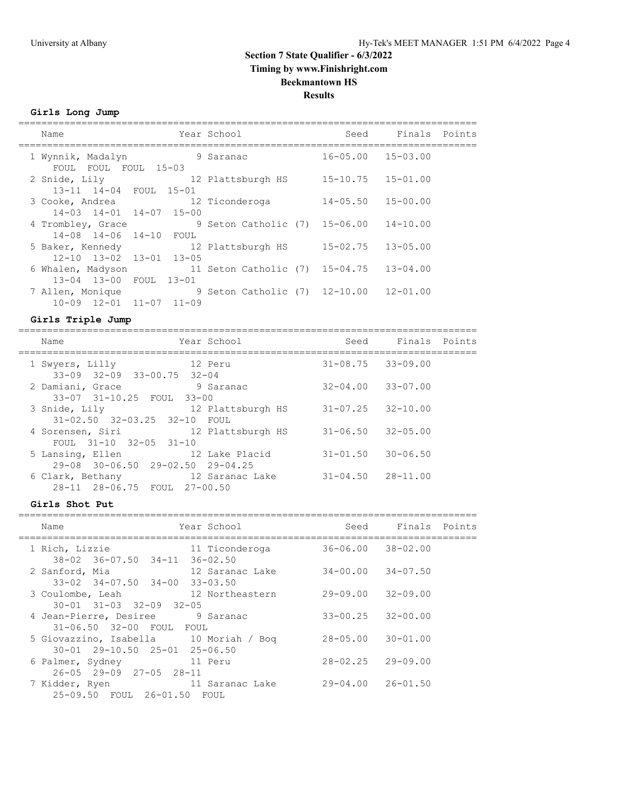**Girls Long Jump**

| Name                                                        | Year School                            | Seed                      | Finals Points |  |
|-------------------------------------------------------------|----------------------------------------|---------------------------|---------------|--|
| 1 Wynnik, Madalyn<br>FOUL FOUL FOUL 15-03                   | 9 Saranac                              | $16 - 05.00$ $15 - 03.00$ |               |  |
| 2 Snide, Lily 12 Plattsburgh HS<br>13-11 14-04 FOUL 15-01   |                                        | $15 - 10.75$ $15 - 01.00$ |               |  |
| 3 Cooke, Andrea<br>14-03 14-01 14-07 15-00                  | 12 Ticonderoga                         | $14 - 05.50$              | $15 - 00.00$  |  |
| 4 Trombley, Grace<br>14-08 14-06 14-10 FOUL                 | 9 Seton Catholic (7) 15-06.00          |                           | $14 - 10.00$  |  |
| 5 Baker, Kennedy<br>$12 - 10$ $13 - 02$ $13 - 01$ $13 - 05$ | 12 Plattsburgh HS                      | $15 - 02.75$              | $13 - 05.00$  |  |
| 6 Whalen, Madyson<br>13-04 13-00 FOUL 13-01                 | 11 Seton Catholic (7) 15-04.75         |                           | $13 - 04.00$  |  |
| 7 Allen, Monique<br>$10-09$ $12-01$ $11-07$ $11-09$         | 9 Seton Catholic (7) 12-10.00 12-01.00 |                           |               |  |
|                                                             |                                        |                           |               |  |

# **Girls Triple Jump**

| Year School<br>Name                                                   | Seed              | Finals Points             |  |
|-----------------------------------------------------------------------|-------------------|---------------------------|--|
| 12 Peru<br>1 Swyers, Lilly<br>$33-09$ $32-09$ $33-00.75$<br>$32 - 04$ |                   | $31 - 08.75$ $33 - 09.00$ |  |
| 2 Damiani, Grace<br>9 Saranac<br>33-07 31-10.25 FOUL 33-00            |                   | $32 - 04.00$ $33 - 07.00$ |  |
| 3 Snide, Lily<br>$31 - 02.50$ $32 - 03.25$ $32 - 10$<br>FOUL          | 12 Plattsburgh HS | $31 - 07.25$ $32 - 10.00$ |  |
| 4 Sorensen, Siri<br>12 Plattsburgh HS<br>FOUL $31-10$ $32-05$ $31-10$ |                   | $31 - 06.50$ $32 - 05.00$ |  |
| 5 Lansing, Ellen<br>29-08 30-06.50 29-02.50 29-04.25                  | 12 Lake Placid    | $31 - 01.50$ $30 - 06.50$ |  |
| 6 Clark, Bethany<br>28-11 28-06.75 FOUL 27-00.50                      | - 12 Saranac Lake | $31 - 04.50$ $28 - 11.00$ |  |

#### **Girls Shot Put**

| Name                                                                        | Year School                     | Seed                      | Finals Points |  |
|-----------------------------------------------------------------------------|---------------------------------|---------------------------|---------------|--|
| 1 Rich, Lizzie<br>38-02 36-07.50 34-11                                      | 11 Ticonderoga<br>$36 - 02.50$  | $36 - 06.00$ $38 - 02.00$ |               |  |
| 2 Sanford, Mia                                                              | 12 Saranac Lake                 | $34 - 00.00$              | $34 - 07.50$  |  |
| $33 - 02$ $34 - 07.50$ $34 - 00$<br>3 Coulombe, Leah                        | $33 - 03.50$<br>12 Northeastern | $29 - 09.00$ $32 - 09.00$ |               |  |
| $30 - 01$ $31 - 03$ $32 - 09$ $32 - 05$<br>4 Jean-Pierre, Desiree 9 Saranac |                                 | $33 - 00.25$              | $32 - 00.00$  |  |
| 31-06.50 32-00 FOUL FOUL<br>5 Giovazzino, Isabella 10 Moriah / Bog          |                                 | $28 - 05.00$              | $30 - 01.00$  |  |
| $30 - 01$ $29 - 10.50$ $25 - 01$ $25 - 06.50$<br>6 Palmer, Sydney           | 11 Peru                         | $28 - 02.25$              | $29 - 09.00$  |  |
| $26 - 05$ $29 - 09$ $27 - 05$ $28 - 11$<br>7 Kidder, Ryen                   | 11 Saranac Lake                 | $29 - 04.00$ $26 - 01.50$ |               |  |
| 25-09.50 FOUL 26-01.50 FOUL                                                 |                                 |                           |               |  |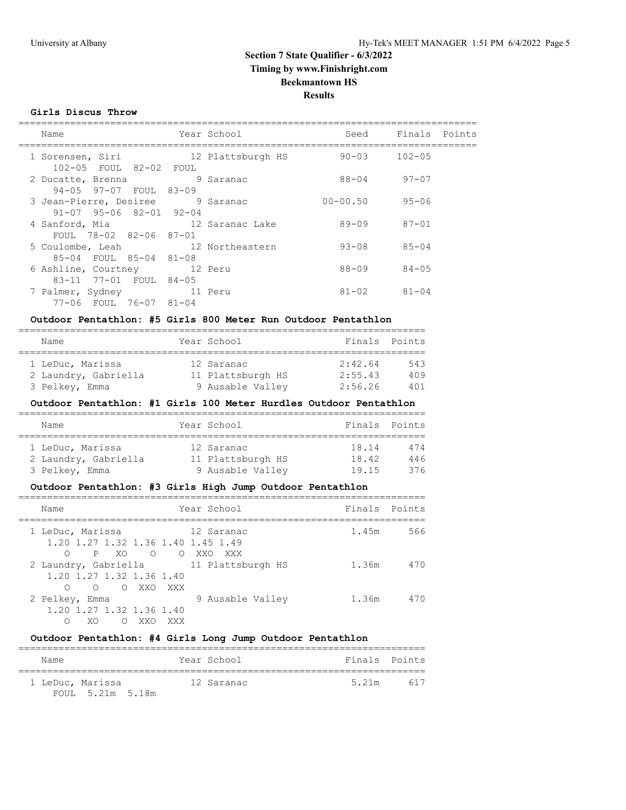## **Girls Discus Throw**

| Name                                                                        |             | Year School       | Seed         | Finals Points |  |
|-----------------------------------------------------------------------------|-------------|-------------------|--------------|---------------|--|
| 1 Sorensen, Siri<br>102-05 FOUL 82-02 FOUL                                  |             | 12 Plattsburgh HS | $90 - 03$    | $102 - 05$    |  |
| 2 Ducatte, Brenna<br>94-05 97-07 FOUL                                       | 83-09       | 9 Saranac         | 88-04        | $97 - 07$     |  |
| 3 Jean-Pierre, Desiree 9 Saranac<br>$91 - 07$ $95 - 06$ $82 - 01$ $92 - 04$ |             |                   | $00 - 00.50$ | $95 - 06$     |  |
| 4 Sanford, Mia<br>FOUL 78-02 82-06 87-01                                    |             | 12 Saranac Lake   | 89-09        | $87 - 01$     |  |
| 5 Coulombe, Leah 12 Northeastern<br>85-04 FOUL 85-04 81-08                  |             |                   | $93 - 08$    | $85 - 04$     |  |
| 6 Ashline, Courtney 12 Peru<br>83-11 77-01 FOUL 84-05                       |             |                   | 88-09        | $84 - 05$     |  |
| 7 Palmer, Sydney<br>77-06 FOUL 76-07 81-04                                  | and 11 Peru |                   | $81 - 02$    | $81 - 04$     |  |
|                                                                             |             |                   |              |               |  |

## **Outdoor Pentathlon: #5 Girls 800 Meter Run Outdoor Pentathlon**

|  | Name                 |  | Year School       |         | Finals Points |  |  |  |  |
|--|----------------------|--|-------------------|---------|---------------|--|--|--|--|
|  |                      |  |                   |         |               |  |  |  |  |
|  | 1 LeDuc, Marissa     |  | 12 Saranac        | 2:42.64 | 543           |  |  |  |  |
|  | 2 Laundry, Gabriella |  | 11 Plattsburgh HS | 2:55.43 | 409           |  |  |  |  |
|  | 3 Pelkey, Emma       |  | 9 Ausable Valley  | 2:56.26 | 401           |  |  |  |  |

## **Outdoor Pentathlon: #1 Girls 100 Meter Hurdles Outdoor Pentathlon**

| Name                 |  | Year School       | Finals Points |     |  |  |  |  |
|----------------------|--|-------------------|---------------|-----|--|--|--|--|
|                      |  |                   |               |     |  |  |  |  |
| 1 LeDuc, Marissa     |  | 12 Saranac        | 18.14         | 474 |  |  |  |  |
| 2 Laundry, Gabriella |  | 11 Plattsburgh HS | 18.42         | 446 |  |  |  |  |
| 3 Pelkey, Emma       |  | 9 Ausable Valley  | 19.15         | 376 |  |  |  |  |

# **Outdoor Pentathlon: #3 Girls High Jump Outdoor Pentathlon**

| Name                                                                                       | Year School      | Finals Points |     |
|--------------------------------------------------------------------------------------------|------------------|---------------|-----|
| 1 LeDuc, Marissa<br>1.20 1.27 1.32 1.36 1.40 1.45 1.49<br>PXO OOXXOXXX                     | - 12 Saranac     | 1.45m         | 566 |
| 2 Laundry, Gabriella 11 Plattsburgh HS<br>1.20 1.27 1.32 1.36 1.40<br>O XXO XXX<br>$\circ$ |                  | 1.36m         | 470 |
| 2 Pelkey, Emma<br>1.20 1.27 1.32 1.36 1.40<br>XO.<br>XXO.<br>XXX<br>∩                      | 9 Ausable Valley | 1.36m         | 470 |

## **Outdoor Pentathlon: #4 Girls Long Jump Outdoor Pentathlon**

| Name |                                      | Year School | Finals Points |     |
|------|--------------------------------------|-------------|---------------|-----|
|      | 1 LeDuc, Marissa<br>FOUL 5.21m 5.18m | 12 Saranac  | 5.21m         | 617 |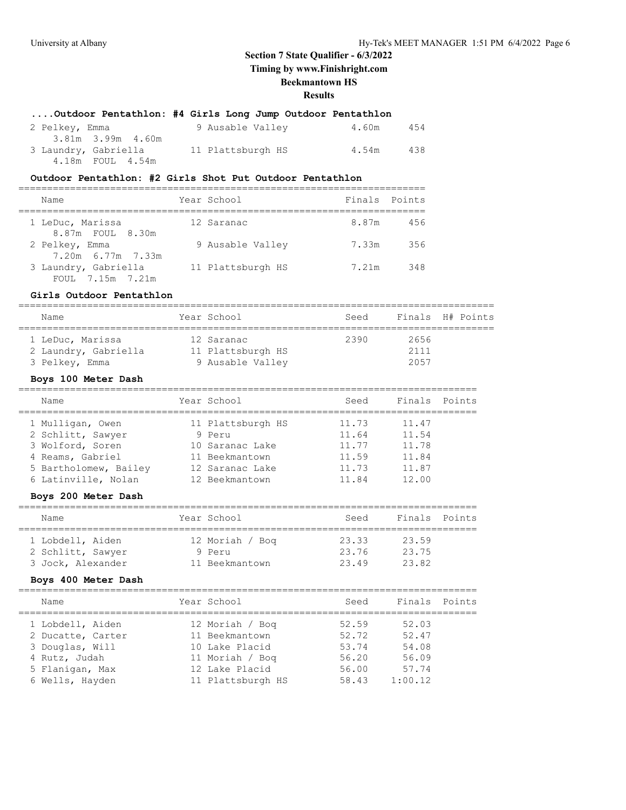# **....Outdoor Pentathlon: #4 Girls Long Jump Outdoor Pentathlon**

| 2 Pelkey, Emma |                      | 9 Ausable Valley  | 4.60m | 454 |
|----------------|----------------------|-------------------|-------|-----|
|                | 3.81m 3.99m 4.60m    |                   |       |     |
|                | 3 Laundry, Gabriella | 11 Plattsburgh HS | 4.54m | 438 |
|                | 4.18m FOUL 4.54m     |                   |       |     |

## **Outdoor Pentathlon: #2 Girls Shot Put Outdoor Pentathlon**

| Name                                     | Year School       | Finals Points |     |
|------------------------------------------|-------------------|---------------|-----|
| 1 LeDuc, Marissa<br>8.87m FOUL 8.30m     | 12 Saranac        | 8.87m         | 456 |
| 2 Pelkey, Emma<br>7.20m 6.77m 7.33m      | 9 Ausable Valley  | 7.33m         | 356 |
| 3 Laundry, Gabriella<br>FOUL 7.15m 7.21m | 11 Plattsburgh HS | 7.21m         | 348 |

## **Girls Outdoor Pentathlon**

| Name                 | Year School       | Seed |      | Finals H# Points |
|----------------------|-------------------|------|------|------------------|
| 1 LeDuc, Marissa     | 12 Saranac        | 2390 | 2656 |                  |
| 2 Laundry, Gabriella | 11 Plattsburgh HS |      | 2111 |                  |
| 3 Pelkey, Emma       | 9 Ausable Valley  |      | 2057 |                  |

# **Boys 100 Meter Dash**

| Name                  | Year School       | Seed  | Finals | Points |
|-----------------------|-------------------|-------|--------|--------|
| 1 Mulligan, Owen      | 11 Plattsburgh HS | 11.73 | 11.47  |        |
| 2 Schlitt, Sawyer     | 9 Peru            | 11.64 | 11.54  |        |
| 3 Wolford, Soren      | 10 Saranac Lake   | 11.77 | 11.78  |        |
| 4 Reams, Gabriel      | 11 Beekmantown    | 11.59 | 11.84  |        |
| 5 Bartholomew, Bailey | 12 Saranac Lake   | 11.73 | 11.87  |        |
| 6 Latinville, Nolan   | 12 Beekmantown    | 11.84 | 12.00  |        |
|                       |                   |       |        |        |

## **Boys 200 Meter Dash**

| Name              | Year School     | Seed  | Finals Points |  |  |  |  |  |  |
|-------------------|-----------------|-------|---------------|--|--|--|--|--|--|
| 1 Lobdell, Aiden  | 12 Moriah / Bog | 23.33 | 23.59         |  |  |  |  |  |  |
| 2 Schlitt, Sawyer | 9 Peru          | 23.76 | 23.75         |  |  |  |  |  |  |
| 3 Jock, Alexander | 11 Beekmantown  | 2349  | 23.82         |  |  |  |  |  |  |

#### **Boys 400 Meter Dash**

| Name              | Year School       | Seed  | Finals Points |  |
|-------------------|-------------------|-------|---------------|--|
| 1 Lobdell, Aiden  | 12 Moriah / Bog   | 52.59 | 52.03         |  |
| 2 Ducatte, Carter | 11 Beekmantown    | 52.72 | 52.47         |  |
| 3 Douglas, Will   | 10 Lake Placid    | 53.74 | 54.08         |  |
| 4 Rutz, Judah     | 11 Moriah / Boq   | 56.20 | 56.09         |  |
| 5 Flanigan, Max   | 12 Lake Placid    | 56.00 | 57.74         |  |
| 6 Wells, Hayden   | 11 Plattsburgh HS | 58.43 | 1:00.12       |  |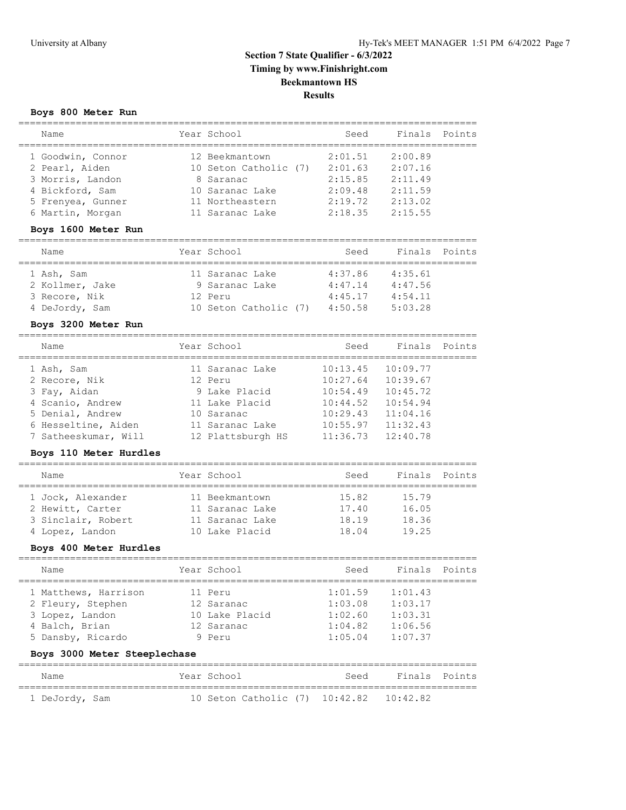================================================================================

# **Section 7 State Qualifier - 6/3/2022 Timing by www.Finishright.com Beekmantown HS Results**

# **Boys 800 Meter Run**

| Name<br>===============           | Year School                    | Seed                            | Finals               | Points        |
|-----------------------------------|--------------------------------|---------------------------------|----------------------|---------------|
| 1 Goodwin, Connor                 | 12 Beekmantown                 | 2:01.51                         | 2:00.89              |               |
| 2 Pearl, Aiden                    | 10 Seton Catholic (7)          | 2:01.63                         | 2:07.16              |               |
| 3 Morris, Landon                  | 8 Saranac                      | 2:15.85                         | 2:11.49              |               |
| 4 Bickford, Sam                   | 10 Saranac Lake                | 2:09.48                         | 2:11.59              |               |
| 5 Frenyea, Gunner                 | 11 Northeastern                | 2:19.72                         | 2:13.02              |               |
| 6 Martin, Morgan                  | 11 Saranac Lake                | 2:18.35                         | 2:15.55              |               |
| Boys 1600 Meter Run               | =====================          | -----------------               |                      |               |
| ======================<br>Name    | Year School<br>======          | Seed<br>$=====$                 | Finals               | Points        |
| 1 Ash, Sam                        | 11 Saranac Lake                | 4:37.86                         | 4:35.61              |               |
| 2 Kollmer, Jake                   | 9 Saranac Lake                 | 4:47.14                         | 4:47.56              |               |
| 3 Recore, Nik                     | 12 Peru                        | 4:45.17                         | 4:54.11              |               |
| 4 DeJordy, Sam                    | 10 Seton Catholic (7)          | 4:50.58                         | 5:03.28              |               |
| Boys 3200 Meter Run               |                                |                                 |                      |               |
| Name                              | Year School                    | Seed                            | Finals               | Points        |
| ________________                  |                                |                                 |                      |               |
| 1 Ash, Sam                        | 11 Saranac Lake                | 10:13.45                        | 10:09.77             |               |
| 2 Recore, Nik                     | 12 Peru                        | 10:27.64                        | 10:39.67             |               |
| 3 Fay, Aidan                      | 9 Lake Placid                  | 10:54.49                        | 10:45.72             |               |
| 4 Scanio, Andrew                  | 11 Lake Placid                 | 10:44.52                        | 10:54.94             |               |
| 5 Denial, Andrew                  | 10 Saranac                     | 10:29.43                        | 11:04.16             |               |
| 6 Hesseltine, Aiden               | 11 Saranac Lake                | 10:55.97<br>11:36.73            | 11:32.43<br>12:40.78 |               |
| 7 Satheeskumar, Will              | 12 Plattsburgh HS              |                                 |                      |               |
| Boys 110 Meter Hurdles            |                                | =============================== |                      |               |
| Name                              | Year School                    | Seed                            | Finals               | Points        |
| 1 Jock, Alexander                 | 11 Beekmantown                 | 15.82                           | 15.79                |               |
| 2 Hewitt, Carter                  | 11 Saranac Lake                | 17.40                           | 16.05                |               |
| 3 Sinclair, Robert                | 11 Saranac Lake                | 18.19                           | 18.36                |               |
| 4 Lopez, Landon                   | 10 Lake Placid                 | 18.04                           | 19.25                |               |
| Boys 400 Meter Hurdles            |                                |                                 |                      |               |
| =========================<br>Name | Year School                    | Seed                            | Finals               | Points        |
|                                   |                                |                                 |                      |               |
| 1 Matthews, Harrison              | 11 Peru                        | 1:01.59                         | 1:01.43              |               |
| 2 Fleury, Stephen                 | 12 Saranac                     | 1:03.08                         | 1:03.17              |               |
| 3 Lopez, Landon                   | 10 Lake Placid                 | 1:02.60                         | 1:03.31              |               |
| 4 Balch, Brian                    | 12 Saranac                     | 1:04.82                         | 1:06.56              |               |
| 5 Dansby, Ricardo                 | 9 Peru                         | 1:05.04                         | 1:07.37              |               |
| Boys 3000 Meter Steeplechase      |                                |                                 |                      |               |
| Name                              | Year School                    | Seed                            |                      | Finals Points |
| 1 DeJordy, Sam                    | 10 Seton Catholic (7) 10:42.82 |                                 | 10:42.82             |               |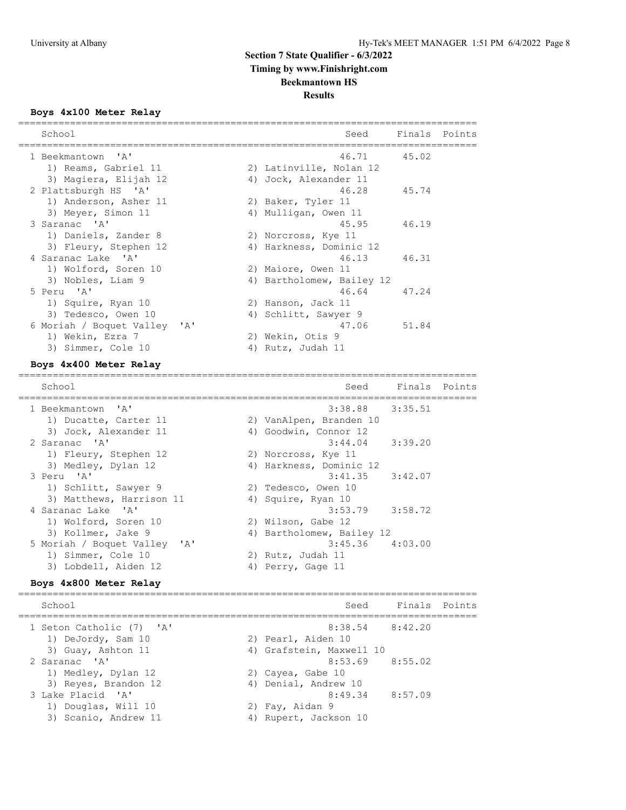# **Boys 4x100 Meter Relay**

| School<br>------------------------------- | Seed                                         | Finals Points |        |
|-------------------------------------------|----------------------------------------------|---------------|--------|
| 1 Beekmantown 'A'                         | 46.71                                        | 45.02         |        |
| 1) Reams, Gabriel 11                      | 2) Latinville, Nolan 12                      |               |        |
| 3) Magiera, Elijah 12                     | 4) Jock, Alexander 11                        |               |        |
| 2 Plattsburgh HS 'A'                      | 46.28                                        | 45.74         |        |
| 1) Anderson, Asher 11                     | 2) Baker, Tyler 11                           |               |        |
| 3) Meyer, Simon 11                        | 4) Mulligan, Owen 11                         |               |        |
| 3 Saranac 'A'                             | 45.95                                        | 46.19         |        |
| 1) Daniels, Zander 8                      | 2) Norcross, Kye 11                          |               |        |
| 3) Fleury, Stephen 12                     | 4) Harkness, Dominic 12                      |               |        |
| 4 Saranac Lake 'A'                        | 46.13                                        | 46.31         |        |
| 1) Wolford, Soren 10                      | 2) Maiore, Owen 11                           |               |        |
| 3) Nobles, Liam 9                         | 4) Bartholomew, Bailey 12                    |               |        |
| 5 Peru 'A'                                | 46.64                                        | 47.24         |        |
| 1) Squire, Ryan 10                        | 2) Hanson, Jack 11                           |               |        |
| 3) Tedesco, Owen 10                       | 4) Schlitt, Sawyer 9                         |               |        |
| 6 Moriah / Boquet Valley<br>A'            | 47.06                                        | 51.84         |        |
| 1) Wekin, Ezra 7                          | 2) Wekin, Otis 9                             |               |        |
| 3) Simmer, Cole 10                        | 4) Rutz, Judah 11                            |               |        |
| Boys 4x400 Meter Relay                    |                                              |               |        |
| School                                    | Seed                                         | Finals        | Points |
| 1 Beekmantown<br>$\mathsf{A}$             | =================================<br>3:38.88 | 3:35.51       |        |
| 1) Ducatte, Carter 11                     | 2) VanAlpen, Branden 10                      |               |        |
| 3) Jock, Alexander 11                     | 4) Goodwin, Connor 12                        |               |        |
| 2 Saranac 'A'                             | 3:44.04                                      | 3:39.20       |        |
| 1) Fleury, Stephen 12                     | 2) Norcross, Kye 11                          |               |        |
|                                           |                                              |               |        |

| 3) Medley, Dylan 12          | 4) Harkness, Dominic 12   |
|------------------------------|---------------------------|
| 3 Peru 'A'                   | $3:41.35$ $3:42.07$       |
| 1) Schlitt, Sawyer 9         | 2) Tedesco, Owen 10       |
| 3) Matthews, Harrison 11     | 4) Squire, Ryan 10        |
| 4 Saranac Lake 'A'           | $3:53.79$ $3:58.72$       |
| 1) Wolford, Soren 10         | 2) Wilson, Gabe 12        |
| 3) Kollmer, Jake 9           | 4) Bartholomew, Bailey 12 |
| 5 Moriah / Boquet Valley 'A' | $3:45.36$ $4:03.00$       |
| 1) Simmer, Cole 10           | 2) Rutz, Judah 11         |
| 3) Lobdell, Aiden 12         | 4) Perry, Gage 11         |

#### **Boys 4x800 Meter Relay**

================================================================================ School School Seed Finals Points ================================================================================ 1 Seton Catholic (7) 'A' 8:38.54 8:42.20 1) DeJordy, Sam 10 2) Pearl, Aiden 10 3) Guay, Ashton 11 4) Grafstein, Maxwell 10 2 Saranac 'A' 8:53.69 8:55.02 1) Medley, Dylan 12 2) Cayea, Gabe 10 3) Reyes, Brandon 12 (4) Denial, Andrew 10 3 Lake Placid 'A' 8:49.34 8:57.09 1) Douglas, Will 10 2) Fay, Aidan 9 3) Scanio, Andrew 11 4) Rupert, Jackson 10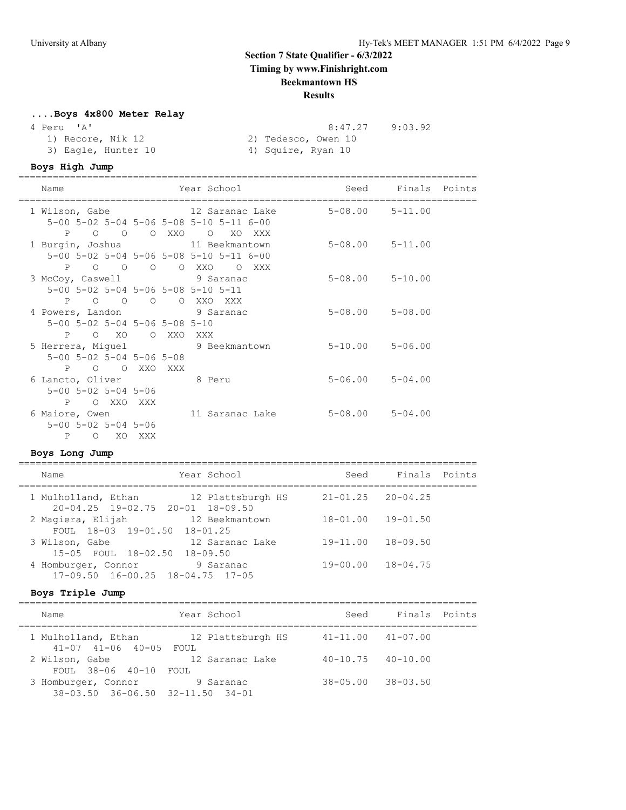# **Section 7 State Qualifier - 6/3/2022 Timing by www.Finishright.com**

# **Beekmantown HS**

## **Results**

# **....Boys 4x800 Meter Relay**

## 4 Peru 'A' 8:47.27 9:03.92

| 1) Recore, Nik 12   | 2) Tedesco, Owen 10 |  |
|---------------------|---------------------|--|
| 3) Eagle, Hunter 10 | 4) Squire, Ryan 10  |  |

#### **Boys High Jump**

================================================================================ Seed Finals Points

|  | nalle                                                                                            | IEAL DUNUUI                                                                                                                     | beeu                    | LINGIS FOINLS |
|--|--------------------------------------------------------------------------------------------------|---------------------------------------------------------------------------------------------------------------------------------|-------------------------|---------------|
|  | P O O O XXO O                                                                                    | 1 Wilson, Gabe               12 Saranac Lake           5-08.00     5-11.00<br>5-00 5-02 5-04 5-06 5-08 5-10 5-11 6-00<br>XO XXX |                         |               |
|  | 1 Burgin, Joshua 11 Beekmantown                                                                  | 5-00 5-02 5-04 5-06 5-08 5-10 5-11 6-00<br>P O O O O XXO O XXX                                                                  | $5 - 08.00$ $5 - 11.00$ |               |
|  | 3 McCoy, Caswell 9 Saranac<br>5-00 5-02 5-04 5-06 5-08 5-10 5-11<br>P O O O O XXO XXX            |                                                                                                                                 | $5 - 08.00$ $5 - 10.00$ |               |
|  | 4 Powers, Landon 9 Saranac<br>5-00 5-02 5-04 5-06 5-08 5-10<br>P O XO O XXO XXX                  |                                                                                                                                 | $5 - 08.00$ $5 - 08.00$ |               |
|  | 5 Herrera, Miquel 9 Beekmantown<br>$5 - 00$ $5 - 02$ $5 - 04$ $5 - 06$ $5 - 08$<br>P O O XXO XXX |                                                                                                                                 | $5 - 10.00$ $5 - 06.00$ |               |
|  | 6 Lancto, Oliver 8 Peru<br>$5 - 00$ $5 - 02$ $5 - 04$ $5 - 06$<br>P O XXO XXX                    |                                                                                                                                 | $5 - 06.00$ $5 - 04.00$ |               |
|  | 6 Maiore, Owen<br>$5 - 00$ $5 - 02$ $5 - 04$ $5 - 06$<br>$\mathbf{P}$<br>O XO XXX                | 11 Saranac Lake                                                                                                                 | $5-08.00$ $5-04.00$     |               |
|  |                                                                                                  |                                                                                                                                 |                         |               |

# **Boys Long Jump**

| Name                                                                    | Year School       | Seed                      | Finals Points |  |
|-------------------------------------------------------------------------|-------------------|---------------------------|---------------|--|
| 1 Mulholland, Ethan<br>$20 - 04.25$ $19 - 02.75$ $20 - 01$ $18 - 09.50$ | 12 Plattsburgh HS | $21 - 01.25$ $20 - 04.25$ |               |  |
| 2 Magiera, Elijah<br>FOUL 18-03 19-01.50 18-01.25                       | 12 Beekmantown    | $18 - 01.00$              | $19 - 01.50$  |  |
| 3 Wilson, Gabe<br>15-05 FOUL 18-02.50 18-09.50                          | 12 Saranac Lake   | $19 - 11.00$              | $18 - 09.50$  |  |
| 4 Homburger, Connor<br>$17-09.50$ $16-00.25$ $18-04.75$ $17-05$         | 9 Saranac         | 19-00.00                  | $18 - 04.75$  |  |

## **Boys Triple Jump**

| Name                                                    | Year School       | Seed                      | Finals Points |  |
|---------------------------------------------------------|-------------------|---------------------------|---------------|--|
| 1 Mulholland, Ethan<br>41-07 41-06 40-05 FOUL           | 12 Plattsburgh HS | $41 - 11.00$ $41 - 07.00$ |               |  |
| 2 Wilson, Gabe<br>FOUL 38-06 40-10 FOUL                 | 12 Saranac Lake   | $40 - 10.75$ $40 - 10.00$ |               |  |
| 3 Homburger, Connor<br>38-03.50 36-06.50 32-11.50 34-01 | 9 Saranac         | $38 - 05.00$ $38 - 03.50$ |               |  |

================================================================================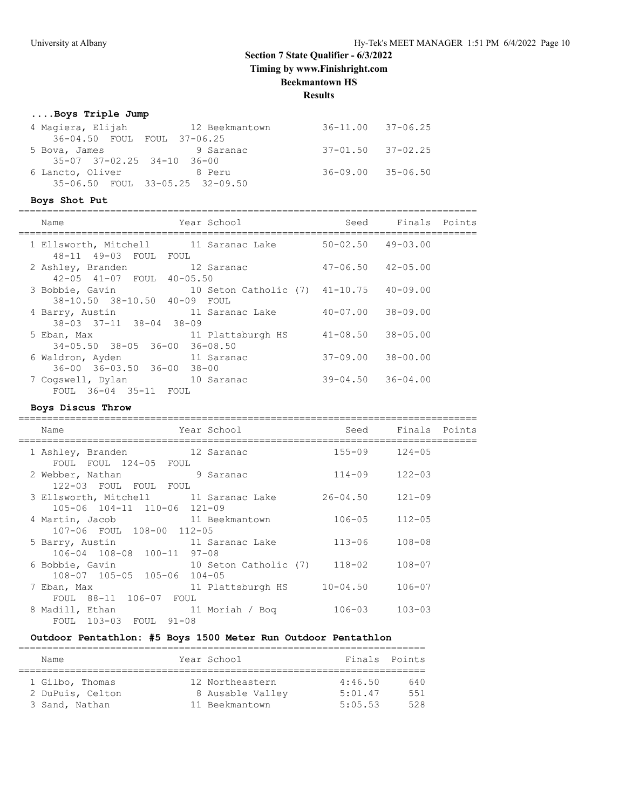# **Section 7 State Qualifier - 6/3/2022**

**Timing by www.Finishright.com**

# **Beekmantown HS**

**Results**

#### **....Boys Triple Jump**

| 4 Magiera, Elijah           | 12 Beekmantown                  | 36-11.00 37-06.25         |  |
|-----------------------------|---------------------------------|---------------------------|--|
| 36-04.50 FOUL FOUL 37-06.25 |                                 |                           |  |
| 5 Bova, James               | 9 Saranac                       | $37 - 01.50$ $37 - 02.25$ |  |
| 35-07 37-02.25 34-10 36-00  |                                 |                           |  |
| 6 Lancto, Oliver 8 Peru     |                                 | 36-09.00 35-06.50         |  |
|                             | 35-06.50 FOUL 33-05.25 32-09.50 |                           |  |

## **Boys Shot Put**

| Name                                                                                    | Year School       | Seed                      | Finals Points |  |
|-----------------------------------------------------------------------------------------|-------------------|---------------------------|---------------|--|
| 1 Ellsworth, Mitchell          11 Saranac Lake<br>48-11 49-03 FOUL FOUL                 |                   | $50 - 02.50$ 49-03.00     |               |  |
| 2 Ashley, Branden 12 Saranac<br>42-05 41-07 FOUL 40-05.50                               |                   | $47 - 06.50$ $42 - 05.00$ |               |  |
| 3 Bobbie, Gavin 10 Seton Catholic (7) 41-10.75 40-09.00<br>38-10.50 38-10.50 40-09 FOUL |                   |                           |               |  |
| 4 Barry, Austin<br>38-03 37-11 38-04 38-09                                              | 11 Saranac Lake   | 40-07.00                  | $38 - 09.00$  |  |
| 5 Eban, Max<br>34-05.50 38-05 36-00 36-08.50                                            | 11 Plattsburgh HS | 41-08.50                  | $38 - 05.00$  |  |
| 6 Waldron, Ayden<br>$36 - 00$ $36 - 03.50$ $36 - 00$ $38 - 00$                          | 11 Saranac        | $37 - 09.00$              | $38 - 00.00$  |  |
| 7 Coqswell, Dylan 10 Saranac<br>FOUL 36-04 35-11 FOUL                                   |                   | $39 - 04.50$ $36 - 04.00$ |               |  |
|                                                                                         |                   |                           |               |  |

## **Boys Discus Throw**

| Name                                                                            | Year School                  |                       | Seed Finals Points |  |
|---------------------------------------------------------------------------------|------------------------------|-----------------------|--------------------|--|
| 1 Ashley, Branden 12 Saranac<br>FOUL FOUL 124-05 FOUL                           |                              | $155 - 09$ $124 - 05$ |                    |  |
| 2 Webber, Nathan 9 Saranac<br>122-03 FOUL FOUL FOUL                             |                              | $114 - 09$            | $122 - 03$         |  |
| 3 Ellsworth, Mitchell 11 Saranac Lake<br>105-06 104-11 110-06 121-09            |                              | 26-04.50              | $121 - 09$         |  |
| 4 Martin, Jacob<br>107-06 FOUL 108-00 112-05                                    | 11 Beekmantown               | 106-05                | $112 - 05$         |  |
| 5 Barry, Austin 11 Saranac Lake<br>106-04 108-08 100-11 97-08                   |                              | $113 - 06$            | $108 - 08$         |  |
| 6 Bobbie, Gavin<br>108-07 105-05 105-06 104-05                                  | 10 Seton Catholic (7) 118-02 |                       | $108 - 07$         |  |
| 7 Eban, Max<br>FOUL 88-11 106-07 FOUL                                           | 11 Plattsburgh HS 10-04.50   |                       | $106 - 07$         |  |
| 8 Madill, Ethan                       11 Moriah / Boq<br>FOUL 103-03 FOUL 91-08 |                              | 106-03                | $103 - 03$         |  |

## **Outdoor Pentathlon: #5 Boys 1500 Meter Run Outdoor Pentathlon**

| Name                                                  | Year School                                           | Finals Points                 |                   |
|-------------------------------------------------------|-------------------------------------------------------|-------------------------------|-------------------|
| 1 Gilbo, Thomas<br>2 DuPuis, Celton<br>3 Sand, Nathan | 12 Northeastern<br>8 Ausable Valley<br>11 Beekmantown | 4:46.50<br>5:01.47<br>5:05.53 | 640<br>551<br>528 |